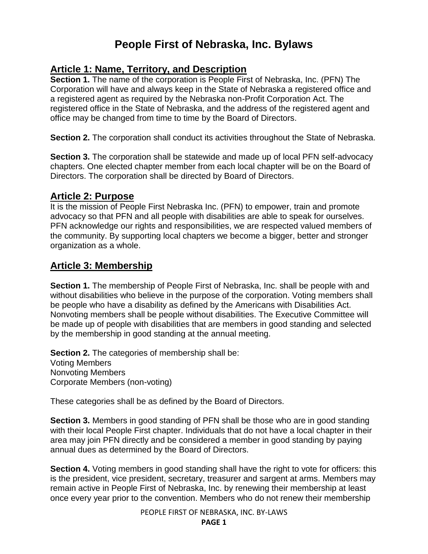# **People First of Nebraska, Inc. Bylaws**

## **Article 1: Name, Territory, and Description**

**Section 1.** The name of the corporation is People First of Nebraska, Inc. (PFN) The Corporation will have and always keep in the State of Nebraska a registered office and a registered agent as required by the Nebraska non-Profit Corporation Act. The registered office in the State of Nebraska, and the address of the registered agent and office may be changed from time to time by the Board of Directors.

**Section 2.** The corporation shall conduct its activities throughout the State of Nebraska.

**Section 3.** The corporation shall be statewide and made up of local PFN self-advocacy chapters. One elected chapter member from each local chapter will be on the Board of Directors. The corporation shall be directed by Board of Directors.

### **Article 2: Purpose**

It is the mission of People First Nebraska Inc. (PFN) to empower, train and promote advocacy so that PFN and all people with disabilities are able to speak for ourselves. PFN acknowledge our rights and responsibilities, we are respected valued members of the community. By supporting local chapters we become a bigger, better and stronger organization as a whole.

## **Article 3: Membership**

**Section 1.** The membership of People First of Nebraska, Inc. shall be people with and without disabilities who believe in the purpose of the corporation. Voting members shall be people who have a disability as defined by the Americans with Disabilities Act. Nonvoting members shall be people without disabilities. The Executive Committee will be made up of people with disabilities that are members in good standing and selected by the membership in good standing at the annual meeting.

**Section 2.** The categories of membership shall be: Voting Members Nonvoting Members Corporate Members (non-voting)

These categories shall be as defined by the Board of Directors.

**Section 3.** Members in good standing of PFN shall be those who are in good standing with their local People First chapter. Individuals that do not have a local chapter in their area may join PFN directly and be considered a member in good standing by paying annual dues as determined by the Board of Directors.

**Section 4.** Voting members in good standing shall have the right to vote for officers: this is the president, vice president, secretary, treasurer and sargent at arms. Members may remain active in People First of Nebraska, Inc. by renewing their membership at least once every year prior to the convention. Members who do not renew their membership

PEOPLE FIRST OF NEBRASKA, INC. BY-LAWS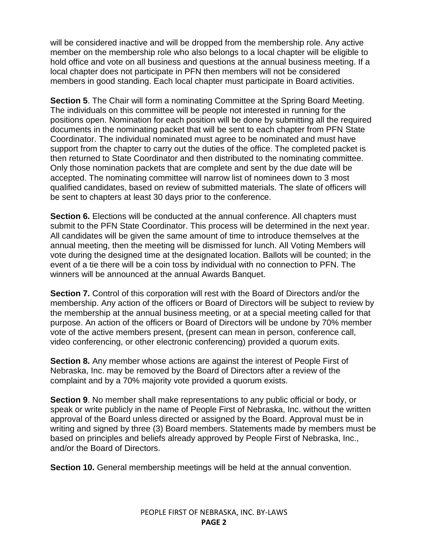will be considered inactive and will be dropped from the membership role. Any active member on the membership role who also belongs to a local chapter will be eligible to hold office and vote on all business and questions at the annual business meeting. If a local chapter does not participate in PFN then members will not be considered members in good standing. Each local chapter must participate in Board activities.

**Section 5**. The Chair will form a nominating Committee at the Spring Board Meeting. The individuals on this committee will be people not interested in running for the positions open. Nomination for each position will be done by submitting all the required documents in the nominating packet that will be sent to each chapter from PFN State Coordinator. The individual nominated must agree to be nominated and must have support from the chapter to carry out the duties of the office. The completed packet is then returned to State Coordinator and then distributed to the nominating committee. Only those nomination packets that are complete and sent by the due date will be accepted. The nominating committee will narrow list of nominees down to 3 most qualified candidates, based on review of submitted materials. The slate of officers will be sent to chapters at least 30 days prior to the conference.

**Section 6.** Elections will be conducted at the annual conference. All chapters must submit to the PFN State Coordinator. This process will be determined in the next year. All candidates will be given the same amount of time to introduce themselves at the annual meeting, then the meeting will be dismissed for lunch. All Voting Members will vote during the designed time at the designated location. Ballots will be counted; in the event of a tie there will be a coin toss by individual with no connection to PFN. The winners will be announced at the annual Awards Banquet.

**Section 7.** Control of this corporation will rest with the Board of Directors and/or the membership. Any action of the officers or Board of Directors will be subject to review by the membership at the annual business meeting, or at a special meeting called for that purpose. An action of the officers or Board of Directors will be undone by 70% member vote of the active members present, (present can mean in person, conference call, video conferencing, or other electronic conferencing) provided a quorum exits.

**Section 8.** Any member whose actions are against the interest of People First of Nebraska, Inc. may be removed by the Board of Directors after a review of the complaint and by a 70% majority vote provided a quorum exists.

**Section 9**. No member shall make representations to any public official or body, or speak or write publicly in the name of People First of Nebraska, Inc. without the written approval of the Board unless directed or assigned by the Board. Approval must be in writing and signed by three (3) Board members. Statements made by members must be based on principles and beliefs already approved by People First of Nebraska, Inc., and/or the Board of Directors.

**Section 10.** General membership meetings will be held at the annual convention.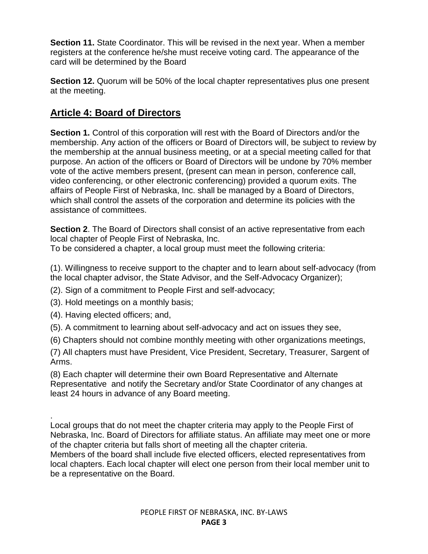**Section 11.** State Coordinator. This will be revised in the next year. When a member registers at the conference he/she must receive voting card. The appearance of the card will be determined by the Board

**Section 12.** Quorum will be 50% of the local chapter representatives plus one present at the meeting.

## **Article 4: Board of Directors**

**Section 1.** Control of this corporation will rest with the Board of Directors and/or the membership. Any action of the officers or Board of Directors will, be subject to review by the membership at the annual business meeting, or at a special meeting called for that purpose. An action of the officers or Board of Directors will be undone by 70% member vote of the active members present, (present can mean in person, conference call, video conferencing, or other electronic conferencing) provided a quorum exits. The affairs of People First of Nebraska, Inc. shall be managed by a Board of Directors, which shall control the assets of the corporation and determine its policies with the assistance of committees.

**Section 2.** The Board of Directors shall consist of an active representative from each local chapter of People First of Nebraska, Inc.

To be considered a chapter, a local group must meet the following criteria:

(1). Willingness to receive support to the chapter and to learn about self-advocacy (from the local chapter advisor, the State Advisor, and the Self-Advocacy Organizer);

- (2). Sign of a commitment to People First and self-advocacy;
- (3). Hold meetings on a monthly basis;
- (4). Having elected officers; and,
- (5). A commitment to learning about self-advocacy and act on issues they see,
- (6) Chapters should not combine monthly meeting with other organizations meetings,

(7) All chapters must have President, Vice President, Secretary, Treasurer, Sargent of Arms.

(8) Each chapter will determine their own Board Representative and Alternate Representative and notify the Secretary and/or State Coordinator of any changes at least 24 hours in advance of any Board meeting.

. Local groups that do not meet the chapter criteria may apply to the People First of Nebraska, Inc. Board of Directors for affiliate status. An affiliate may meet one or more of the chapter criteria but falls short of meeting all the chapter criteria.

Members of the board shall include five elected officers, elected representatives from local chapters. Each local chapter will elect one person from their local member unit to be a representative on the Board.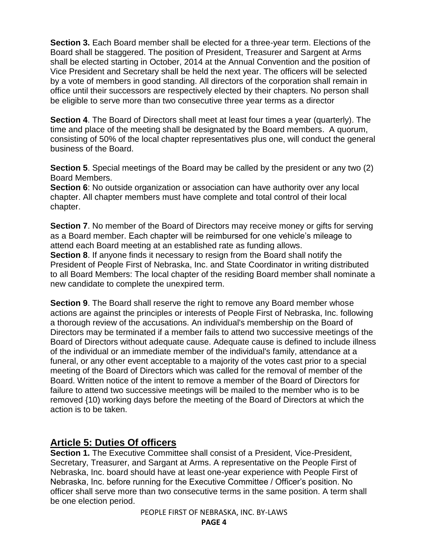**Section 3.** Each Board member shall be elected for a three-year term. Elections of the Board shall be staggered. The position of President, Treasurer and Sargent at Arms shall be elected starting in October, 2014 at the Annual Convention and the position of Vice President and Secretary shall be held the next year. The officers will be selected by a vote of members in good standing. All directors of the corporation shall remain in office until their successors are respectively elected by their chapters. No person shall be eligible to serve more than two consecutive three year terms as a director

**Section 4**. The Board of Directors shall meet at least four times a year (quarterly). The time and place of the meeting shall be designated by the Board members. A quorum, consisting of 50% of the local chapter representatives plus one, will conduct the general business of the Board.

**Section 5**. Special meetings of the Board may be called by the president or any two (2) Board Members.

**Section 6**: No outside organization or association can have authority over any local chapter. All chapter members must have complete and total control of their local chapter.

**Section 7.** No member of the Board of Directors may receive money or gifts for serving as a Board member. Each chapter will be reimbursed for one vehicle's mileage to attend each Board meeting at an established rate as funding allows.

**Section 8**. If anyone finds it necessary to resign from the Board shall notify the President of People First of Nebraska, Inc. and State Coordinator in writing distributed to all Board Members: The local chapter of the residing Board member shall nominate a new candidate to complete the unexpired term.

**Section 9**. The Board shall reserve the right to remove any Board member whose actions are against the principles or interests of People First of Nebraska, Inc. following a thorough review of the accusations. An individual's membership on the Board of Directors may be terminated if a member fails to attend two successive meetings of the Board of Directors without adequate cause. Adequate cause is defined to include illness of the individual or an immediate member of the individual's family, attendance at a funeral, or any other event acceptable to a majority of the votes cast prior to a special meeting of the Board of Directors which was called for the removal of member of the Board. Written notice of the intent to remove a member of the Board of Directors for failure to attend two successive meetings will be mailed to the member who is to be removed {10) working days before the meeting of the Board of Directors at which the action is to be taken.

## **Article 5: Duties Of officers**

**Section 1.** The Executive Committee shall consist of a President, Vice-President, Secretary, Treasurer, and Sargant at Arms. A representative on the People First of Nebraska, Inc. board should have at least one-year experience with People First of Nebraska, Inc. before running for the Executive Committee / Officer's position. No officer shall serve more than two consecutive terms in the same position. A term shall be one election period.

PEOPLE FIRST OF NEBRASKA, INC. BY-LAWS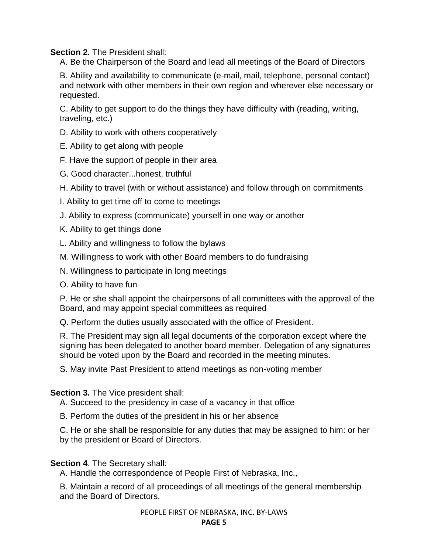**Section 2.** The President shall:

A. Be the Chairperson of the Board and lead all meetings of the Board of Directors

B. Ability and availability to communicate (e-mail, mail, telephone, personal contact) and network with other members in their own region and wherever else necessary or requested.

C. Ability to get support to do the things they have difficulty with (reading, writing, traveling, etc.)

- D. Ability to work with others cooperatively
- E. Ability to get along with people
- F. Have the support of people in their area
- G. Good character...honest, truthful

H. Ability to travel (with or without assistance) and follow through on commitments

- I. Ability to get time off to come to meetings
- J. Ability to express (communicate) yourself in one way or another

K. Ability to get things done

- L. Ability and willingness to follow the bylaws
- M. Willingness to work with other Board members to do fundraising
- N. Willingness to participate in long meetings
- O. Ability to have fun

P. He or she shall appoint the chairpersons of all committees with the approval of the Board, and may appoint special committees as required

Q. Perform the duties usually associated with the office of President.

R. The President may sign all legal documents of the corporation except where the signing has been delegated to another board member. Delegation of any signatures should be voted upon by the Board and recorded in the meeting minutes.

S. May invite Past President to attend meetings as non-voting member

**Section 3. The Vice president shall:** 

A. Succeed to the presidency in case of a vacancy in that office

B. Perform the duties of the president in his or her absence

C. He or she shall be responsible for any duties that may be assigned to him: or her by the president or Board of Directors.

#### **Section 4**. The Secretary shall:

A. Handle the correspondence of People First of Nebraska, Inc.,

B. Maintain a record of all proceedings of all meetings of the general membership and the Board of Directors.

PEOPLE FIRST OF NEBRASKA, INC. BY-LAWS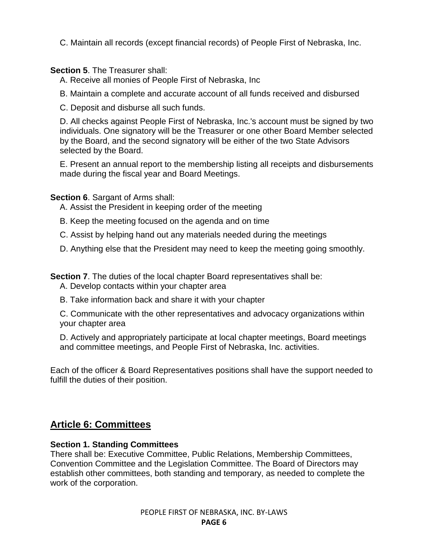C. Maintain all records (except financial records) of People First of Nebraska, Inc.

#### **Section 5**. The Treasurer shall:

A. Receive all monies of People First of Nebraska, Inc

B. Maintain a complete and accurate account of all funds received and disbursed

C. Deposit and disburse all such funds.

D. All checks against People First of Nebraska, Inc.'s account must be signed by two individuals. One signatory will be the Treasurer or one other Board Member selected by the Board, and the second signatory will be either of the two State Advisors selected by the Board.

E. Present an annual report to the membership listing all receipts and disbursements made during the fiscal year and Board Meetings.

**Section 6**. Sargant of Arms shall:

A. Assist the President in keeping order of the meeting

B. Keep the meeting focused on the agenda and on time

C. Assist by helping hand out any materials needed during the meetings

D. Anything else that the President may need to keep the meeting going smoothly.

**Section 7**. The duties of the local chapter Board representatives shall be:

A. Develop contacts within your chapter area

B. Take information back and share it with your chapter

C. Communicate with the other representatives and advocacy organizations within your chapter area

D. Actively and appropriately participate at local chapter meetings, Board meetings and committee meetings, and People First of Nebraska, Inc. activities.

Each of the officer & Board Representatives positions shall have the support needed to fulfill the duties of their position.

## **Article 6: Committees**

#### **Section 1. Standing Committees**

There shall be: Executive Committee, Public Relations, Membership Committees, Convention Committee and the Legislation Committee. The Board of Directors may establish other committees, both standing and temporary, as needed to complete the work of the corporation.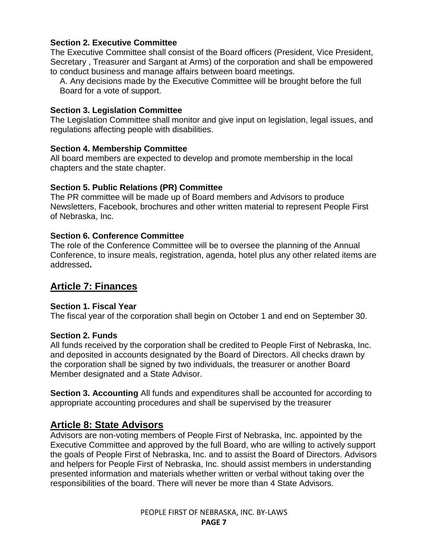#### **Section 2. Executive Committee**

The Executive Committee shall consist of the Board officers (President, Vice President, Secretary , Treasurer and Sargant at Arms) of the corporation and shall be empowered to conduct business and manage affairs between board meetings.

A. Any decisions made by the Executive Committee will be brought before the full Board for a vote of support.

#### **Section 3. Legislation Committee**

The Legislation Committee shall monitor and give input on legislation, legal issues, and regulations affecting people with disabilities.

#### **Section 4. Membership Committee**

All board members are expected to develop and promote membership in the local chapters and the state chapter.

#### **Section 5. Public Relations (PR) Committee**

The PR committee will be made up of Board members and Advisors to produce Newsletters, Facebook, brochures and other written material to represent People First of Nebraska, Inc.

#### **Section 6. Conference Committee**

The role of the Conference Committee will be to oversee the planning of the Annual Conference, to insure meals, registration, agenda, hotel plus any other related items are addressed**.** 

## **Article 7: Finances**

#### **Section 1. Fiscal Year**

The fiscal year of the corporation shall begin on October 1 and end on September 30.

#### **Section 2. Funds**

All funds received by the corporation shall be credited to People First of Nebraska, Inc. and deposited in accounts designated by the Board of Directors. All checks drawn by the corporation shall be signed by two individuals, the treasurer or another Board Member designated and a State Advisor.

**Section 3. Accounting** All funds and expenditures shall be accounted for according to appropriate accounting procedures and shall be supervised by the treasurer

## **Article 8: State Advisors**

Advisors are non-voting members of People First of Nebraska, Inc. appointed by the Executive Committee and approved by the full Board, who are willing to actively support the goals of People First of Nebraska, Inc. and to assist the Board of Directors. Advisors and helpers for People First of Nebraska, Inc. should assist members in understanding presented information and materials whether written or verbal without taking over the responsibilities of the board. There will never be more than 4 State Advisors.